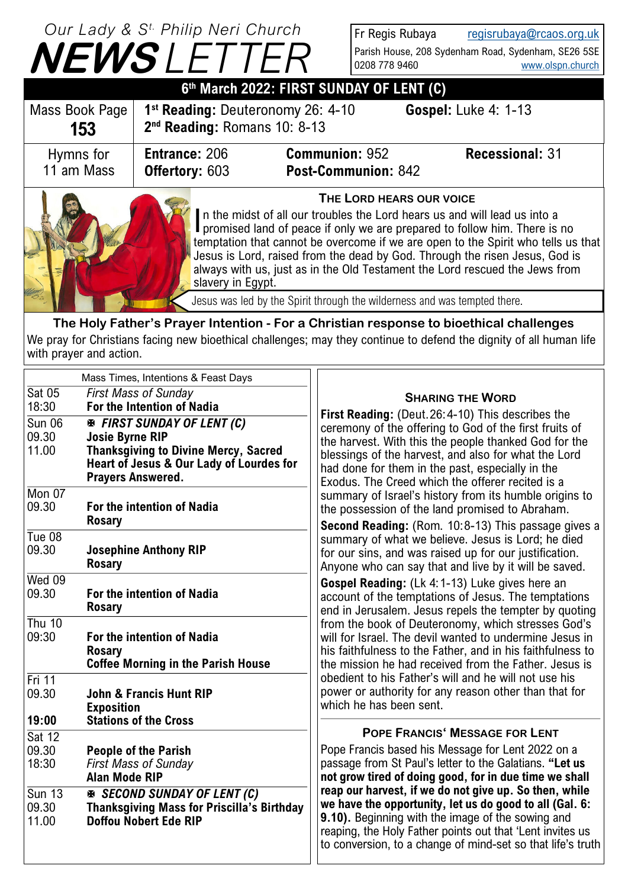# **NEWS** *LETTER Our Lady & S t. Philip Neri Church*

Fr Regis Rubaya [regisrubaya@rcaos.org.uk](mailto:regisrubaya@rcaos.org.uk) Parish House, 208 Sydenham Road, Sydenham, SE26 5SE 0208 778 9460 [www.olspn.church](http://www.olspn.church)

| 6th March 2022: FIRST SUNDAY OF LENT (C) |                                                                                                                                                                                  |                                              |                             |  |  |
|------------------------------------------|----------------------------------------------------------------------------------------------------------------------------------------------------------------------------------|----------------------------------------------|-----------------------------|--|--|
| Mass Book Page<br>153                    | 1 <sup>st</sup> Reading: Deuteronomy 26: 4-10<br>2 <sup>nd</sup> Reading: Romans 10: 8-13                                                                                        |                                              | <b>Gospel:</b> Luke 4: 1-13 |  |  |
| Hymns for<br>11 am Mass                  | <b>Entrance: 206</b><br><b>Offertory: 603</b>                                                                                                                                    | <b>Communion: 952</b><br>Post-Communion: 842 | <b>Recessional: 31</b>      |  |  |
|                                          | THE LORD HEARS OUR VOICE<br>In the midst of all our troubles the Lord hears us and will lead us into a promised land of peace if only we are prepared to follow him. There is no |                                              |                             |  |  |

promised land of peace if only we are prepared to follow him. There is no temptation that cannot be overcome if we are open to the Spirit who tells us that Jesus is Lord, raised from the dead by God. Through the risen Jesus, God is always with us, just as in the Old Testament the Lord rescued the Jews from slavery in Egypt.

Jesus was led by the Spirit through the wilderness and was tempted there.

**The Holy Father's Prayer Intention - For a Christian response to bioethical challenges** We pray for Christians facing new bioethical challenges; may they continue to defend the dignity of all human life with prayer and action.

|                                 | Mass Times, Intentions & Feast Days                                                                                                                                                 |                                                                                                                                                                                                                                                                                                                                     |
|---------------------------------|-------------------------------------------------------------------------------------------------------------------------------------------------------------------------------------|-------------------------------------------------------------------------------------------------------------------------------------------------------------------------------------------------------------------------------------------------------------------------------------------------------------------------------------|
| <b>Sat 05</b><br>18:30          | <b>First Mass of Sunday</b><br>For the Intention of Nadia                                                                                                                           | <b>SHARING THE WORD</b>                                                                                                                                                                                                                                                                                                             |
| <b>Sun 06</b><br>09.30<br>11.00 | <b>EX FIRST SUNDAY OF LENT (C)</b><br><b>Josie Byrne RIP</b><br><b>Thanksgiving to Divine Mercy, Sacred</b><br>Heart of Jesus & Our Lady of Lourdes for<br><b>Prayers Answered.</b> | First Reading: (Deut.26:4-10) This describes the<br>ceremony of the offering to God of the first fruits of<br>the harvest. With this the people thanked God for the<br>blessings of the harvest, and also for what the Lord<br>had done for them in the past, especially in the<br>Exodus. The Creed which the offerer recited is a |
| $M$ on 07<br>09.30              | For the intention of Nadia<br><b>Rosary</b>                                                                                                                                         | summary of Israel's history from its humble origins to<br>the possession of the land promised to Abraham.<br>Second Reading: (Rom. 10:8-13) This passage gives a                                                                                                                                                                    |
| Tue 08<br>09.30                 | <b>Josephine Anthony RIP</b><br><b>Rosary</b>                                                                                                                                       | summary of what we believe. Jesus is Lord; he died<br>for our sins, and was raised up for our justification.<br>Anyone who can say that and live by it will be saved.                                                                                                                                                               |
| $Wed$ 09<br>09.30               | For the intention of Nadia<br><b>Rosary</b>                                                                                                                                         | Gospel Reading: (Lk 4:1-13) Luke gives here an<br>account of the temptations of Jesus. The temptations<br>end in Jerusalem. Jesus repels the tempter by quoting                                                                                                                                                                     |
| <b>Thu 10</b><br>09:30          | For the intention of Nadia<br><b>Rosary</b><br><b>Coffee Morning in the Parish House</b>                                                                                            | from the book of Deuteronomy, which stresses God's<br>will for Israel. The devil wanted to undermine Jesus in<br>his faithfulness to the Father, and in his faithfulness to<br>the mission he had received from the Father, Jesus is                                                                                                |
| $Fri$ 11<br>09.30<br>19:00      | <b>John &amp; Francis Hunt RIP</b><br><b>Exposition</b><br><b>Stations of the Cross</b>                                                                                             | obedient to his Father's will and he will not use his<br>power or authority for any reason other than that for<br>which he has been sent.                                                                                                                                                                                           |
| <b>Sat 12</b><br>09.30<br>18:30 | <b>People of the Parish</b><br><b>First Mass of Sunday</b><br><b>Alan Mode RIP</b>                                                                                                  | <b>POPE FRANCIS' MESSAGE FOR LENT</b><br>Pope Francis based his Message for Lent 2022 on a<br>passage from St Paul's letter to the Galatians. "Let us<br>not grow tired of doing good, for in due time we shall                                                                                                                     |
| <b>Sun 13</b><br>09.30<br>11.00 | <b>EX SECOND SUNDAY OF LENT (C)</b><br><b>Thanksgiving Mass for Priscilla's Birthday</b><br><b>Doffou Nobert Ede RIP</b>                                                            | reap our harvest, if we do not give up. So then, while<br>we have the opportunity, let us do good to all (Gal. 6:<br>9.10). Beginning with the image of the sowing and<br>reaping, the Holy Father points out that 'Lent invites us<br>to conversion, to a change of mind-set so that life's truth                                  |